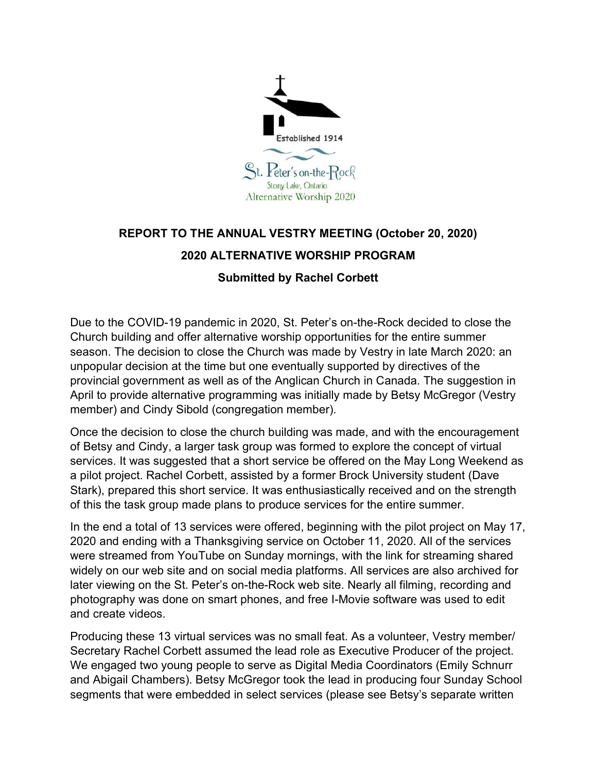

## REPORT TO THE ANNUAL VESTRY MEETING (October 20, 2020) 2020 ALTERNATIVE WORSHIP PROGRAM

## Submitted by Rachel Corbett

Due to the COVID-19 pandemic in 2020, St. Peter's on-the-Rock decided to close the Church building and offer alternative worship opportunities for the entire summer season. The decision to close the Church was made by Vestry in late March 2020: an unpopular decision at the time but one eventually supported by directives of the provincial government as well as of the Anglican Church in Canada. The suggestion in April to provide alternative programming was initially made by Betsy McGregor (Vestry member) and Cindy Sibold (congregation member).

Once the decision to close the church building was made, and with the encouragement of Betsy and Cindy, a larger task group was formed to explore the concept of virtual services. It was suggested that a short service be offered on the May Long Weekend as a pilot project. Rachel Corbett, assisted by a former Brock University student (Dave Stark), prepared this short service. It was enthusiastically received and on the strength of this the task group made plans to produce services for the entire summer.

In the end a total of 13 services were offered, beginning with the pilot project on May 17, 2020 and ending with a Thanksgiving service on October 11, 2020. All of the services were streamed from YouTube on Sunday mornings, with the link for streaming shared widely on our web site and on social media platforms. All services are also archived for later viewing on the St. Peter's on-the-Rock web site. Nearly all filming, recording and photography was done on smart phones, and free I-Movie software was used to edit and create videos.

Producing these 13 virtual services was no small feat. As a volunteer, Vestry member/ Secretary Rachel Corbett assumed the lead role as Executive Producer of the project. We engaged two young people to serve as Digital Media Coordinators (Emily Schnurr and Abigail Chambers). Betsy McGregor took the lead in producing four Sunday School segments that were embedded in select services (please see Betsy's separate written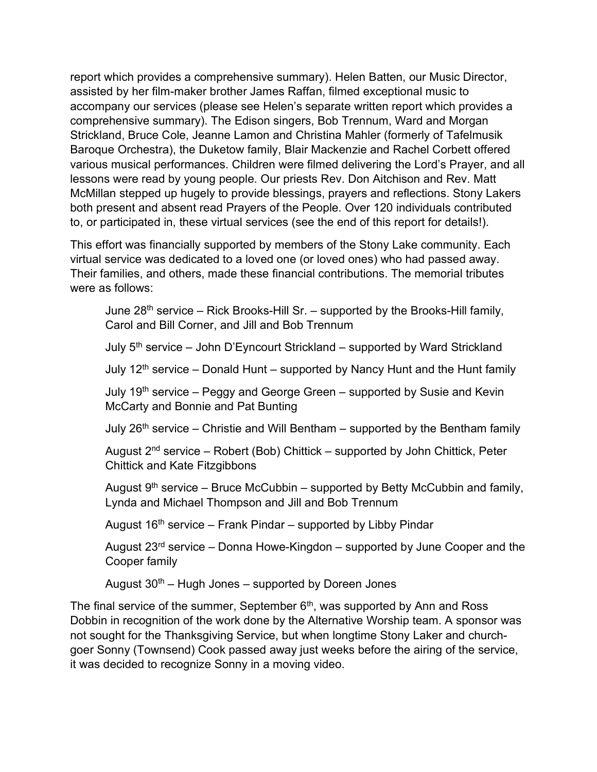report which provides a comprehensive summary). Helen Batten, our Music Director, assisted by her film-maker brother James Raffan, filmed exceptional music to accompany our services (please see Helen's separate written report which provides a comprehensive summary). The Edison singers, Bob Trennum, Ward and Morgan Strickland, Bruce Cole, Jeanne Lamon and Christina Mahler (formerly of Tafelmusik Baroque Orchestra), the Duketow family, Blair Mackenzie and Rachel Corbett offered various musical performances. Children were filmed delivering the Lord's Prayer, and all lessons were read by young people. Our priests Rev. Don Aitchison and Rev. Matt McMillan stepped up hugely to provide blessings, prayers and reflections. Stony Lakers both present and absent read Prayers of the People. Over 120 individuals contributed to, or participated in, these virtual services (see the end of this report for details!).

This effort was financially supported by members of the Stony Lake community. Each virtual service was dedicated to a loved one (or loved ones) who had passed away. Their families, and others, made these financial contributions. The memorial tributes were as follows:

June  $28<sup>th</sup>$  service – Rick Brooks-Hill Sr. – supported by the Brooks-Hill family, Carol and Bill Corner, and Jill and Bob Trennum

July  $5<sup>th</sup>$  service – John D'Eyncourt Strickland – supported by Ward Strickland

July  $12<sup>th</sup>$  service – Donald Hunt – supported by Nancy Hunt and the Hunt family

July  $19<sup>th</sup>$  service – Peggy and George Green – supported by Susie and Kevin McCarty and Bonnie and Pat Bunting

July  $26<sup>th</sup>$  service – Christie and Will Bentham – supported by the Bentham family

August  $2^{nd}$  service – Robert (Bob) Chittick – supported by John Chittick, Peter Chittick and Kate Fitzgibbons

August  $9<sup>th</sup>$  service – Bruce McCubbin – supported by Betty McCubbin and family, Lynda and Michael Thompson and Jill and Bob Trennum

August  $16<sup>th</sup>$  service – Frank Pindar – supported by Libby Pindar

August  $23<sup>rd</sup>$  service – Donna Howe-Kingdon – supported by June Cooper and the Cooper family

August  $30<sup>th</sup>$  – Hugh Jones – supported by Doreen Jones

The final service of the summer, September  $6<sup>th</sup>$ , was supported by Ann and Ross Dobbin in recognition of the work done by the Alternative Worship team. A sponsor was not sought for the Thanksgiving Service, but when longtime Stony Laker and churchgoer Sonny (Townsend) Cook passed away just weeks before the airing of the service, it was decided to recognize Sonny in a moving video.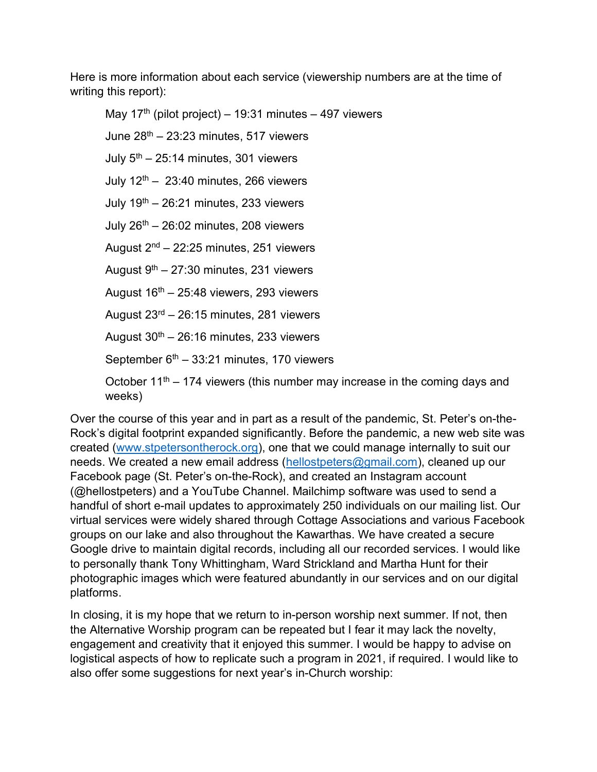Here is more information about each service (viewership numbers are at the time of writing this report):

May 17<sup>th</sup> (pilot project) – 19:31 minutes – 497 viewers June  $28<sup>th</sup> - 23:23$  minutes, 517 viewers July  $5<sup>th</sup> - 25:14$  minutes, 301 viewers July  $12<sup>th</sup> - 23:40$  minutes, 266 viewers July  $19^{th}$  – 26:21 minutes, 233 viewers July  $26<sup>th</sup> - 26:02$  minutes, 208 viewers August  $2<sup>nd</sup> - 22:25$  minutes, 251 viewers August  $9<sup>th</sup> - 27:30$  minutes, 231 viewers August  $16<sup>th</sup> - 25:48$  viewers, 293 viewers August 23rd – 26:15 minutes, 281 viewers August  $30<sup>th</sup> - 26:16$  minutes, 233 viewers September  $6<sup>th</sup> - 33:21$  minutes, 170 viewers October 11<sup>th</sup> – 174 viewers (this number may increase in the coming days and weeks)

Over the course of this year and in part as a result of the pandemic, St. Peter's on-the-Rock's digital footprint expanded significantly. Before the pandemic, a new web site was created (www.stpetersontherock.org), one that we could manage internally to suit our needs. We created a new email address (hellostpeters@gmail.com), cleaned up our Facebook page (St. Peter's on-the-Rock), and created an Instagram account (@hellostpeters) and a YouTube Channel. Mailchimp software was used to send a handful of short e-mail updates to approximately 250 individuals on our mailing list. Our virtual services were widely shared through Cottage Associations and various Facebook groups on our lake and also throughout the Kawarthas. We have created a secure Google drive to maintain digital records, including all our recorded services. I would like to personally thank Tony Whittingham, Ward Strickland and Martha Hunt for their photographic images which were featured abundantly in our services and on our digital platforms.

In closing, it is my hope that we return to in-person worship next summer. If not, then the Alternative Worship program can be repeated but I fear it may lack the novelty, engagement and creativity that it enjoyed this summer. I would be happy to advise on logistical aspects of how to replicate such a program in 2021, if required. I would like to also offer some suggestions for next year's in-Church worship: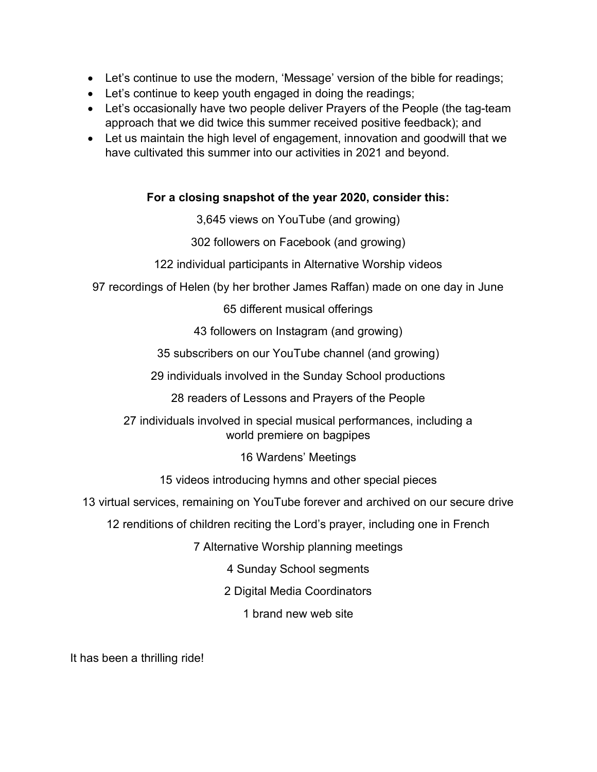- Let's continue to use the modern, 'Message' version of the bible for readings;
- Let's continue to keep youth engaged in doing the readings;
- Let's occasionally have two people deliver Prayers of the People (the tag-team approach that we did twice this summer received positive feedback); and
- Let us maintain the high level of engagement, innovation and goodwill that we have cultivated this summer into our activities in 2021 and beyond.

## For a closing snapshot of the year 2020, consider this:

3,645 views on YouTube (and growing)

302 followers on Facebook (and growing)

122 individual participants in Alternative Worship videos

97 recordings of Helen (by her brother James Raffan) made on one day in June

65 different musical offerings

43 followers on Instagram (and growing)

35 subscribers on our YouTube channel (and growing)

29 individuals involved in the Sunday School productions

28 readers of Lessons and Prayers of the People

27 individuals involved in special musical performances, including a world premiere on bagpipes

16 Wardens' Meetings

15 videos introducing hymns and other special pieces

13 virtual services, remaining on YouTube forever and archived on our secure drive

12 renditions of children reciting the Lord's prayer, including one in French

7 Alternative Worship planning meetings

4 Sunday School segments

2 Digital Media Coordinators

1 brand new web site

It has been a thrilling ride!